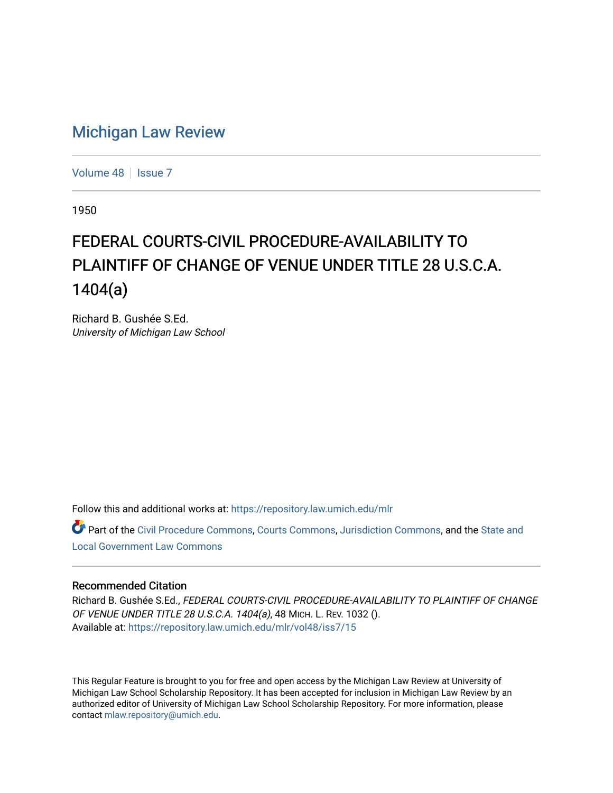## [Michigan Law Review](https://repository.law.umich.edu/mlr)

[Volume 48](https://repository.law.umich.edu/mlr/vol48) | [Issue 7](https://repository.law.umich.edu/mlr/vol48/iss7)

1950

## FEDERAL COURTS-CIVIL PROCEDURE-AVAILABILITY TO PLAINTIFF OF CHANGE OF VENUE UNDER TITLE 28 U.S.C.A. 1404(a)

Richard B. Gushée S.Ed. University of Michigan Law School

Follow this and additional works at: [https://repository.law.umich.edu/mlr](https://repository.law.umich.edu/mlr?utm_source=repository.law.umich.edu%2Fmlr%2Fvol48%2Fiss7%2F15&utm_medium=PDF&utm_campaign=PDFCoverPages) 

Part of the [Civil Procedure Commons,](http://network.bepress.com/hgg/discipline/584?utm_source=repository.law.umich.edu%2Fmlr%2Fvol48%2Fiss7%2F15&utm_medium=PDF&utm_campaign=PDFCoverPages) [Courts Commons](http://network.bepress.com/hgg/discipline/839?utm_source=repository.law.umich.edu%2Fmlr%2Fvol48%2Fiss7%2F15&utm_medium=PDF&utm_campaign=PDFCoverPages), [Jurisdiction Commons,](http://network.bepress.com/hgg/discipline/850?utm_source=repository.law.umich.edu%2Fmlr%2Fvol48%2Fiss7%2F15&utm_medium=PDF&utm_campaign=PDFCoverPages) and the [State and](http://network.bepress.com/hgg/discipline/879?utm_source=repository.law.umich.edu%2Fmlr%2Fvol48%2Fiss7%2F15&utm_medium=PDF&utm_campaign=PDFCoverPages)  [Local Government Law Commons](http://network.bepress.com/hgg/discipline/879?utm_source=repository.law.umich.edu%2Fmlr%2Fvol48%2Fiss7%2F15&utm_medium=PDF&utm_campaign=PDFCoverPages)

## Recommended Citation

Richard B. Gushée S.Ed., FEDERAL COURTS-CIVIL PROCEDURE-AVAILABILITY TO PLAINTIFF OF CHANGE OF VENUE UNDER TITLE 28 U.S.C.A. 1404(a), 48 MICH. L. REV. 1032 (). Available at: [https://repository.law.umich.edu/mlr/vol48/iss7/15](https://repository.law.umich.edu/mlr/vol48/iss7/15?utm_source=repository.law.umich.edu%2Fmlr%2Fvol48%2Fiss7%2F15&utm_medium=PDF&utm_campaign=PDFCoverPages) 

This Regular Feature is brought to you for free and open access by the Michigan Law Review at University of Michigan Law School Scholarship Repository. It has been accepted for inclusion in Michigan Law Review by an authorized editor of University of Michigan Law School Scholarship Repository. For more information, please contact [mlaw.repository@umich.edu](mailto:mlaw.repository@umich.edu).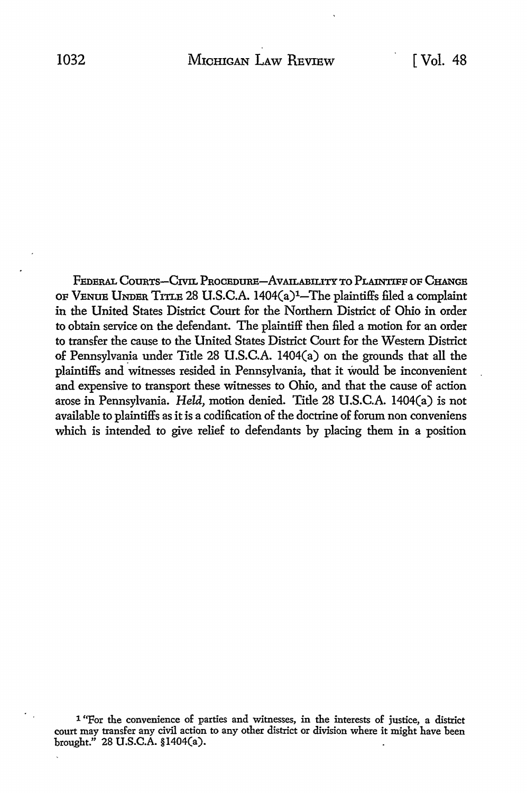FEDERAL COURTS-CIVIL PROCEDURE-AVAILABILITY TO PLAINTIFF OF CHANGE OF VENUE UNDER TITLE 28 U.S.C.A. 1404(a)1-The plaintiffs filed a complaint in the United States District Court for the Northern District of Ohio in order to obtain service on the defendant. The plaintiff then filed a motion for an order to transfer the cause to the United States District Court for the Western District of Pennsylvania under Title 28 U.S.C.A. 1404(a) on the grounds that all the plaintiffs and witnesses resided in Pennsylvania, that it would be inconvenient and expensive to transport these witnesses to Ohio, and that the cause of action arose in Pennsylvania. *Held,* motion denied. Title 28 U.S.C.A. 1404(a) is not available to plaintiffs as it is a codification of the doctrine of forum non conveniens which is intended to give relief to defendants by placing them in a position

<sup>1 &</sup>quot;For the convenience of parties and witnesses, in the interests of justice, a district court may transfer any civil action to any other district or division where it might have been brought." 28 U.S.C.A. §l404(a).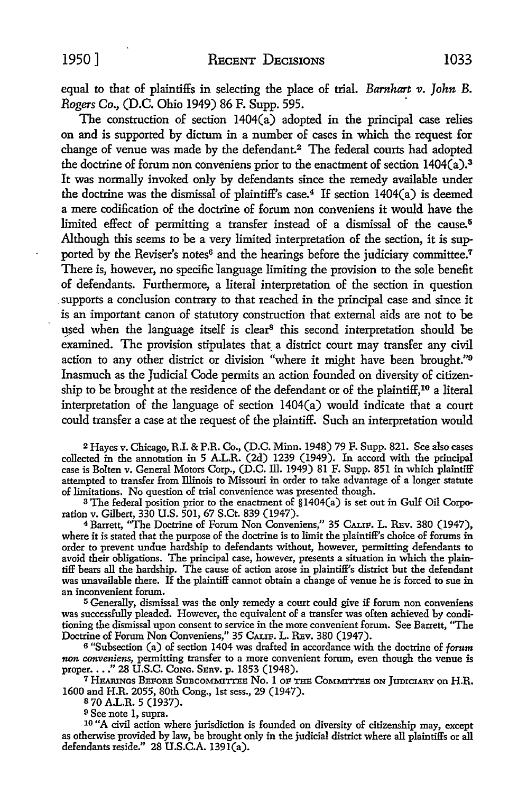equal to that of plaintiffs in selecting the place of trial. *Barnhart v. John* B. *Rogers Co.,* (D.C. Ohio 1949) 86 F. Supp. 595.

The construction of section  $1404(a)$  adopted in the principal case relies on and is supported by dictum in a number of cases in which the request for change of venue was made by the defendant.<sup>2</sup> The federal courts had adopted the doctrine of forum non conveniens prior to the enactment of section 1404(a).<sup>3</sup> It was normally invoked only by defendants since the remedy available under the doctrine was the dismissal of plaintiff's case.<sup>4</sup> If section  $1404(a)$  is deemed a mere codification of the doctrine of forum non conveniens it would have the limited effect of permitting a transfer instead of a dismissal of the cause.<sup>5</sup> Although this seems to be a very limited interpretation of the section, it is supported by the Reviser's notes<sup>6</sup> and the hearings before the judiciary committee.<sup>7</sup> There is, however, no specific language limiting the provision to the sole benefit of defendants. Furthermore, a literal interpretation of the section in question supports a conclusion contrary to that reached in the principal case and since it is an important canon of statutory construction that external aids are not to be used when the language itself is clear<sup>8</sup> this second interpretation should be examined. The provision stipulates that\_ a district court may transfer any civil action to any other district or division "where it might have been brought."<sup>9</sup> Inasmuch as the Judicial Code permits an action founded on diversity of citizenship to be brought at the residence of the defendant or of the plaintiff,10 a literal interpretation of the language of section 1404(a) would indicate that a court could transfer a case at the request of the plaintiff. Such an interpretation would

<sup>2</sup>Hayes v. Chicago, R.I. & P.R. Co., (D.C. Minn. 1948) 79 F. Supp. 821. See also cases collected in the annotation in 5 A.L.R. (2d) 1239 (1949). In accord with the principal case is Bolten v. General Motors Corp., (D.C. Ill. 1949) 81 F. Supp. 851 in which plaintiff attempted to transfer from Illinois to Missouri in order to take advantage of a longer statute of limitations. No question of trial convenience was presented though.

<sup>3</sup>The federal position prior to the enactment of §1404(a) is set out in Gulf Oil Corporation v. Gilbert, 330 U.S. 501, 67 S.Ct. 839 (1947).

<sup>4</sup>Barrett, "The Doctrine of Forum Non Conveniens," 35 CALIP. L. RBv. 380 (1947), where it is stated that the purpose of the doctrine is to limit the plaintiff's choice of forums in order to prevent undue hardship to defendants without, however, permitting defendants to avoid their obligations. The principal case, however, presents a situation in which the plaintiff bears all the hardship. The cause of action arose in plaintiff's district but the defendant was unavailable there. If the plaintiff cannot obtain a change of venue he is forced to sue in an inconvenient forum.

<sup>5</sup>Generally, dismissal was the only remedy a court could give if forum non conveniens was successfully pleaded. However, the equivalent of a transfer was often achieved by conditioning the dismissal upon consent to service in the more convenient forum. See Barrett, "The Doctrine of Forum Non Conveniens," 35 CALIF. L. REV. 380 (1947).

<sup>6</sup>"Subsection (a) of section 1404 was drafted in accordance with the doctrine of *forum non conveniens,* permitting transfer to a more convenient forum, even though the venue is

<sup>7</sup> HEARINGS BEFORE SUBCOMMITTEE NO. 1 OF THE COMMITTEE ON JUDICIARY ON H.R. 1600 and H.R. 2055, 80th Cong., 1st sess., 29 (1947).

s 70 A.L.R. 5 (1937).

9 See note 1, supra.

<sup>10</sup> "A civil action where jurisdiction is founded on diversity of citizenship may, except as otherwise provided by law, be brought only in the judicial district where all plaintiffs or all defendants reside."  $28$  U.S.C.A. 1391(a).